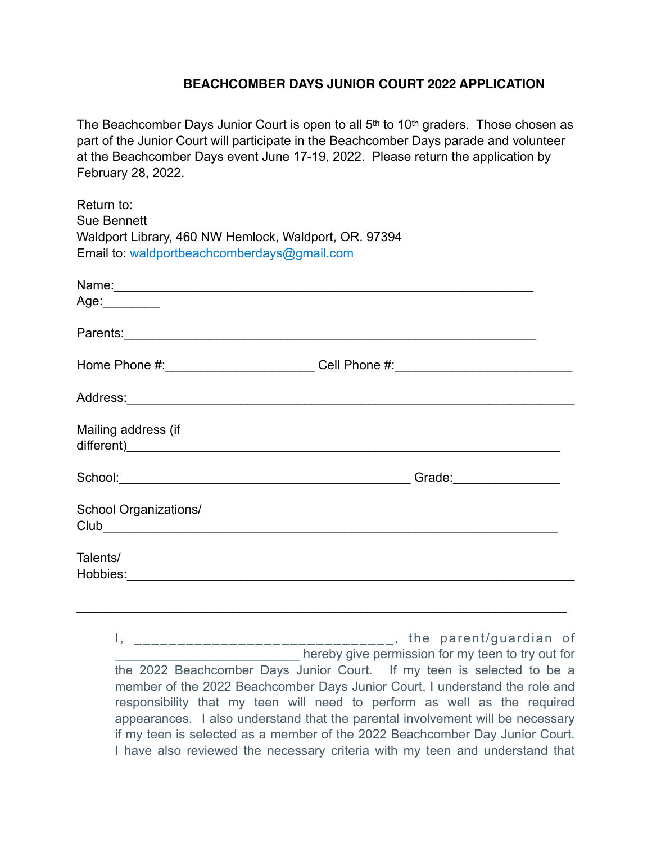## **BEACHCOMBER DAYS JUNIOR COURT 2022 APPLICATION**

The Beachcomber Days Junior Court is open to all  $5<sup>th</sup>$  to 10<sup>th</sup> graders. Those chosen as part of the Junior Court will participate in the Beachcomber Days parade and volunteer at the Beachcomber Days event June 17-19, 2022. Please return the application by February 28, 2022.

| Return to:<br><b>Sue Bennett</b><br>Waldport Library, 460 NW Hemlock, Waldport, OR. 97394<br>Email to: waldportbeachcomberdays@gmail.com                                                                                                              |  |
|-------------------------------------------------------------------------------------------------------------------------------------------------------------------------------------------------------------------------------------------------------|--|
| Name: Name: Name: Name: Name: Name: Name: Name: Name: Name: Name: Name: Name: Name: Name: Name: Name: Name: Name: Name: Name: Name: Name: Name: Name: Name: Name: Name: Name: Name: Name: Name: Name: Name: Name: Name: Name:                         |  |
| Age: _________                                                                                                                                                                                                                                        |  |
|                                                                                                                                                                                                                                                       |  |
| Home Phone #: ___________________________Cell Phone #: _________________________                                                                                                                                                                      |  |
| Address: Analysis and the state of the state of the state of the state of the state of the state of the state of the state of the state of the state of the state of the state of the state of the state of the state of the s                        |  |
| Mailing address (if<br>different) and the contract of the contract of the contract of the contract of the contract of the contract of the contract of the contract of the contract of the contract of the contract of the contract of the contract of |  |
| School: Change of Changes and Changes and Changes and Changes and Changes and Changes and Changes and Changes and Changes and Changes and Changes and Changes and Changes and Changes and Changes and Changes and Changes and                         |  |
| School Organizations/<br><b>Club Club Club Club Club Club</b>                                                                                                                                                                                         |  |
| Talents/                                                                                                                                                                                                                                              |  |

I, \_\_\_\_\_\_\_\_\_\_\_\_\_\_\_\_\_\_\_\_\_\_\_\_\_\_\_\_\_\_, the parent/guardian of hereby give permission for my teen to try out for the 2022 Beachcomber Days Junior Court. If my teen is selected to be a member of the 2022 Beachcomber Days Junior Court, I understand the role and responsibility that my teen will need to perform as well as the required appearances. I also understand that the parental involvement will be necessary if my teen is selected as a member of the 2022 Beachcomber Day Junior Court. I have also reviewed the necessary criteria with my teen and understand that

 $\mathcal{L}_\text{max} = \mathcal{L}_\text{max} = \mathcal{L}_\text{max} = \mathcal{L}_\text{max} = \mathcal{L}_\text{max} = \mathcal{L}_\text{max} = \mathcal{L}_\text{max} = \mathcal{L}_\text{max} = \mathcal{L}_\text{max} = \mathcal{L}_\text{max} = \mathcal{L}_\text{max} = \mathcal{L}_\text{max} = \mathcal{L}_\text{max} = \mathcal{L}_\text{max} = \mathcal{L}_\text{max} = \mathcal{L}_\text{max} = \mathcal{L}_\text{max} = \mathcal{L}_\text{max} = \mathcal{$